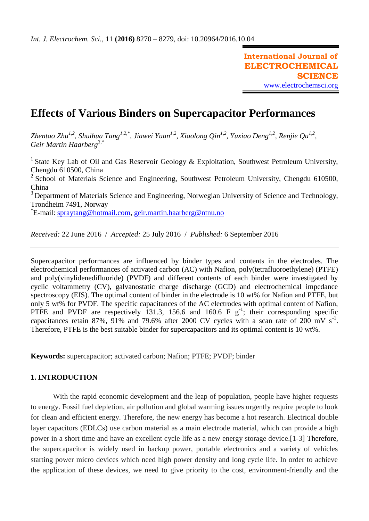# **Effects of Various Binders on Supercapacitor Performances**

*Zhentao Zhu1,2, Shuihua Tang1,2,\*, Jiawei Yuan1,2, Xiaolong Qin1,2, Yuxiao Deng1,2, Renjie Qu1,2 , Geir Martin Haarberg3,\**

<sup>1</sup> State Key Lab of Oil and Gas Reservoir Geology & Exploitation, Southwest Petroleum University, Chengdu 610500, China

2 School of Materials Science and Engineering, Southwest Petroleum University, Chengdu 610500, China

 $3$  Department of Materials Science and Engineering, Norwegian University of Science and Technology, Trondheim 7491, Norway

<sup>\*</sup>E-mail: <u>spraytang@hotmail.com, geir.martin.haarberg@ntnu.no</u>

*Received:* 22 June 2016/ *Accepted:* 25 July 2016 / *Published:* 6 September 2016

Supercapacitor performances are influenced by binder types and contents in the electrodes. The electrochemical performances of activated carbon (AC) with Nafion, poly(tetrafluoroethylene) (PTFE) and poly(vinylidenedifluoride) (PVDF) and different contents of each binder were investigated by cyclic voltammetry (CV), galvanostatic charge discharge (GCD) and electrochemical impedance spectroscopy (EIS). The optimal content of binder in the electrode is 10 wt% for Nafion and PTFE, but only 5 wt% for PVDF. The specific capacitances of the AC electrodes with optimal content of Nafion, PTFE and PVDF are respectively 131.3, 156.6 and 160.6 F  $g^{-1}$ ; their corresponding specific capacitances retain 87%, 91% and 79.6% after 2000 CV cycles with a scan rate of 200 mV  $s^{-1}$ . Therefore, PTFE is the best suitable binder for supercapacitors and its optimal content is 10 wt%.

**Keywords:** supercapacitor; activated carbon; Nafion; PTFE; PVDF; binder

## **1. INTRODUCTION**

With the rapid economic development and the leap of population, people have higher requests to energy. Fossil fuel depletion, air pollution and global warming issues urgently require people to look for clean and efficient energy. Therefore, the new energy has become a hot research. Electrical double layer capacitors (EDLCs) use carbon material as a main electrode material, which can provide a high power in a short time and have an excellent cycle life as a new energy storage device.[1-3] Therefore, the supercapacitor is widely used in backup power, portable electronics and a variety of vehicles starting power micro devices which need high power density and long cycle life. In order to achieve the application of these devices, we need to give priority to the cost, environment-friendly and the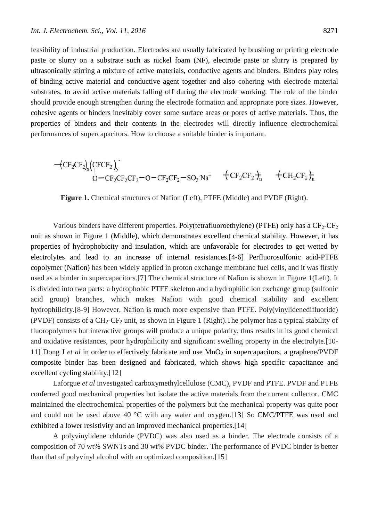feasibility of industrial production. Electrodes are usually fabricated by brushing or printing electrode paste or slurry on a substrate such as nickel foam (NF), electrode paste or slurry is prepared by ultrasonically stirring a mixture of active materials, conductive agents and binders. Binders play roles of binding active material and conductive agent together and also cohering with electrode material substrates, to avoid active materials falling off during the electrode working. The role of the binder should provide enough strengthen during the electrode formation and appropriate pore sizes. However, cohesive agents or binders inevitably cover some surface areas or pores of active materials. Thus, the properties of binders and their contents in the electrodes will directly influence electrochemical performances of supercapacitors. How to choose a suitable binder is important.

$$
\substack{-(CF_2CF_2)_x (CFCF_2)_y\\O-CF_2CF_2CF_2-O-CF_2CF_2-SO_3\cdot Na^+}\\\quad+ CF_2CF_2+_n\\ \quad+ CH_2CF_2)_n}\\
$$

**Figure 1.** Chemical structures of Nafion (Left), PTFE (Middle) and PVDF (Right).

Various binders have different properties. Poly(tetrafluoroethylene) (PTFE) only has a  $CF_2-CF_2$ unit as shown in Figure 1 (Middle), which demonstrates excellent chemical stability. However, it has properties of hydrophobicity and insulation, which are unfavorable for electrodes to get wetted by electrolytes and lead to an increase of internal resistances.[4-6] Perfluorosulfonic acid-PTFE copolymer (Nafion) has been widely applied in proton exchange membrane fuel cells, and it was firstly used as a binder in supercapacitors.[7] The chemical structure of Nafion is shown in Figure 1(Left). It is divided into two parts: a hydrophobic PTFE skeleton and a hydrophilic ion exchange group (sulfonic acid group) branches, which makes Nafion with good chemical stability and excellent hydrophilicity.[8-9] However, Nafion is much more expensive than PTFE. Poly(vinylidenedifluoride) (PVDF) consists of a  $CH_2-CF_2$  unit, as shown in Figure 1 (Right). The polymer has a typical stability of fluoropolymers but interactive groups will produce a unique polarity, thus results in its good chemical and oxidative resistances, poor hydrophilicity and significant swelling property in the electrolyte.[10- 11] Dong J *et al* in order to effectively fabricate and use  $MnO<sub>2</sub>$  in supercapacitors, a graphene/PVDF composite binder has been designed and fabricated, which shows high specific capacitance and excellent cycling stability.[12]

Laforgue *et al* investigated carboxymethylcellulose (CMC), PVDF and PTFE. PVDF and PTFE conferred good mechanical properties but isolate the active materials from the current collector. CMC maintained the electrochemical properties of the polymers but the mechanical property was quite poor and could not be used above 40 °C with any water and oxygen.[13] So CMC/PTFE was used and exhibited a lower resistivity and an improved mechanical properties.[14]

A polyvinylidene chloride (PVDC) was also used as a binder. The electrode consists of a composition of 70 wt% SWNTs and 30 wt% PVDC binder. The performance of PVDC binder is better than that of polyvinyl alcohol with an optimized composition.[15]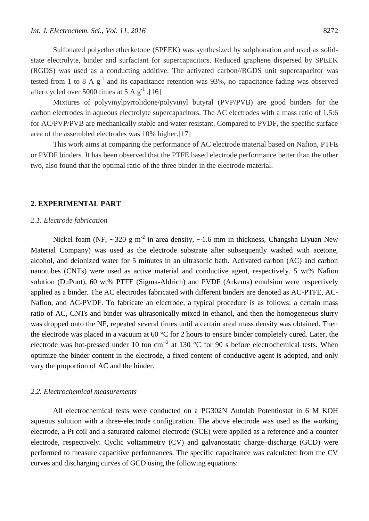Sulfonated polyetheretherketone (SPEEK) was synthesized by sulphonation and used as solidstate electrolyte, binder and surfactant for supercapacitors. Reduced graphene dispersed by SPEEK (RGDS) was used as a conducting additive. The activated carbon//RGDS unit supercapacitor was tested from 1 to 8 A  $g^{-1}$  and its capacitance retention was 93%, no capacitance fading was observed after cycled over 5000 times at 5 A  $g^{-1}$  .[16]

Mixtures of polyvinylpyrrolidone/polyvinyl butyral (PVP/PVB) are good binders for the carbon electrodes in aqueous electrolyte supercapacitors. The AC electrodes with a mass ratio of 1.5:6 for AC/PVP/PVB are mechanically stable and water resistant. Compared to PVDF, the specific surface area of the assembled electrodes was 10% higher.[17]

This work aims at comparing the performance of AC electrode material based on Nafion, PTFE or PVDF binders. It has been observed that the PTFE based electrode performance better than the other two, also found that the optimal ratio of the three binder in the electrode material.

### **2. EXPERIMENTAL PART**

## *2.1. Electrode fabrication*

Nickel foam (NF, ~320 g m<sup>-2</sup> in area density, ~1.6 mm in thickness, Changsha Liyuan New Material Company) was used as the electrode substrate after subsequently washed with acetone, alcohol, and deionized water for 5 minutes in an ultrasonic bath. Activated carbon (AC) and carbon nanotubes (CNTs) were used as active material and conductive agent, respectively. 5 wt% Nafion solution (DuPont), 60 wt% PTFE (Sigma-Aldrich) and PVDF (Arkema) emulsion were respectively applied as a binder. The AC electrodes fabricated with different binders are denoted as AC-PTFE, AC-Nafion, and AC-PVDF. To fabricate an electrode, a typical procedure is as follows: a certain mass ratio of AC, CNTs and binder was ultrasonically mixed in ethanol, and then the homogeneous slurry was dropped onto the NF, repeated several times until a certain areal mass density was obtained. Then the electrode was placed in a vacuum at 60 °C for 2 hours to ensure binder completely cured. Later, the electrode was hot-pressed under 10 ton cm<sup>-2</sup> at 130 °C for 90 s before electrochemical tests. When optimize the binder content in the electrode, a fixed content of conductive agent is adopted, and only vary the proportion of AC and the binder.

## *2.2. Electrochemical measurements*

All electrochemical tests were conducted on a PG302N Autolab Potentiostat in 6 M KOH aqueous solution with a three-electrode configuration. The above electrode was used as the working electrode, a Pt coil and a saturated calomel electrode (SCE) were applied as a reference and a counter electrode, respectively. Cyclic voltammetry (CV) and galvanostatic charge–discharge (GCD) were performed to measure capacitive performances. The specific capacitance was calculated from the CV curves and discharging curves of GCD using the following equations: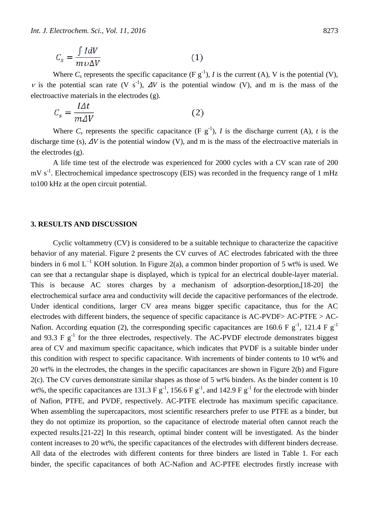$$
C_s = \frac{\int IdV}{m\,\nu\Delta V} \tag{1}
$$

Where  $C_s$  represents the specific capacitance (F  $g^{-1}$ ), *I* is the current (A), V is the potential (V), v is the potential scan rate (V s<sup>-1</sup>),  $\Delta V$  is the potential window (V), and m is the mass of the electroactive materials in the electrodes (g).

$$
C_s = \frac{l\Delta t}{m\Delta V} \tag{2}
$$

Where  $C_s$  represents the specific capacitance (F  $g^{-1}$ ), *I* is the discharge current (A), *t* is the discharge time (s), Δ*V* is the potential window (V), and m is the mass of the electroactive materials in the electrodes (g).

A life time test of the electrode was experienced for 2000 cycles with a CV scan rate of 200  $mV s<sup>-1</sup>$ . Electrochemical impedance spectroscopy (EIS) was recorded in the frequency range of 1 mHz to100 kHz at the open circuit potential.

### **3. RESULTS AND DISCUSSION**

Cyclic voltammetry (CV) is considered to be a suitable technique to characterize the capacitive behavior of any material. Figure 2 presents the CV curves of AC electrodes fabricated with the three binders in 6 mol  $L^{-1}$  KOH solution. In Figure 2(a), a common binder proportion of 5 wt% is used. We can see that a rectangular shape is displayed, which is typical for an electrical double-layer material. This is because AC stores charges by a mechanism of adsorption-desorption,[18-20] the electrochemical surface area and conductivity will decide the capacitive performances of the electrode. Under identical conditions, larger CV area means bigger specific capacitance, thus for the AC electrodes with different binders, the sequence of specific capacitance is AC-PVDF> AC-PTFE > AC-Nafion. According equation (2), the corresponding specific capacitances are 160.6 F  $g^{-1}$ , 121.4 F  $g^{-1}$ and 93.3 F  $g^{-1}$  for the three electrodes, respectively. The AC-PVDF electrode demonstrates biggest area of CV and maximum specific capacitance, which indicates that PVDF is a suitable binder under this condition with respect to specific capacitance. With increments of binder contents to 10 wt% and 20 wt% in the electrodes, the changes in the specific capacitances are shown in Figure 2(b) and Figure 2(c). The CV curves demonstrate similar shapes as those of 5 wt% binders. As the binder content is 10 wt%, the specific capacitances are 131.3 F  $g^{-1}$ , 156.6 F  $g^{-1}$ , and 142.9 F  $g^{-1}$  for the electrode with binder of Nafion, PTFE, and PVDF, respectively. AC-PTFE electrode has maximum specific capacitance. When assembling the supercapacitors, most scientific researchers prefer to use PTFE as a binder, but they do not optimize its proportion, so the capacitance of electrode material often cannot reach the expected results.[21-22] In this research, optimal binder content will be investigated. As the binder content increases to 20 wt%, the specific capacitances of the electrodes with different binders decrease. All data of the electrodes with different contents for three binders are listed in Table 1. For each binder, the specific capacitances of both AC-Nafion and AC-PTFE electrodes firstly increase with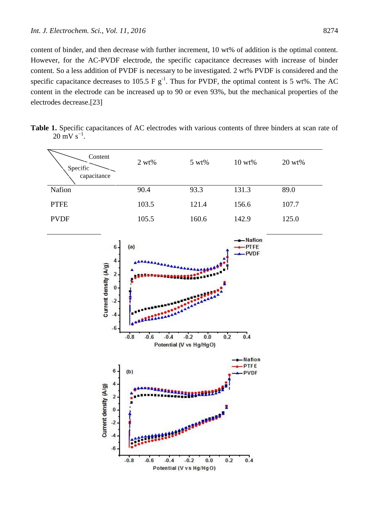content of binder, and then decrease with further increment, 10 wt% of addition is the optimal content. However, for the AC-PVDF electrode, the specific capacitance decreases with increase of binder content. So a less addition of PVDF is necessary to be investigated. 2 wt% PVDF is considered and the specific capacitance decreases to 105.5 F  $g^{-1}$ . Thus for PVDF, the optimal content is 5 wt%. The AC content in the electrode can be increased up to 90 or even 93%, but the mechanical properties of the electrodes decrease.[23]

**Table 1.** Specific capacitances of AC electrodes with various contents of three binders at scan rate of  $20 \text{ mV s}^{-1}$ .

| Content<br>Specific<br>capacitance | $2 wt\%$ | $5 wt\%$ | $10 wt\%$ | $20 wt\%$ |
|------------------------------------|----------|----------|-----------|-----------|
| Nafion                             | 90.4     | 93.3     | 131.3     | 89.0      |
| <b>PTFE</b>                        | 103.5    | 121.4    | 156.6     | 107.7     |
| <b>PVDF</b>                        | 105.5    | 160.6    | 142.9     | 125.0     |

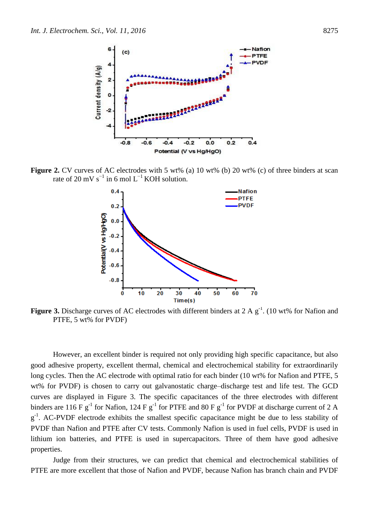

**Figure 2.** CV curves of AC electrodes with 5 wt% (a) 10 wt% (b) 20 wt% (c) of three binders at scan rate of 20 mV s<sup>-1</sup> in 6 mol L<sup>-1</sup> KOH solution.



**Figure 3.** Discharge curves of AC electrodes with different binders at  $2 \text{ A g}^{-1}$ . (10 wt% for Nafion and PTFE, 5 wt% for PVDF)

However, an excellent binder is required not only providing high specific capacitance, but also good adhesive property, excellent thermal, chemical and electrochemical stability for extraordinarily long cycles. Then the AC electrode with optimal ratio for each binder (10 wt% for Nafion and PTFE, 5 wt% for PVDF) is chosen to carry out galvanostatic charge–discharge test and life test. The GCD curves are displayed in Figure 3. The specific capacitances of the three electrodes with different binders are 116 F  $g^{-1}$  for Nafion, 124 F  $g^{-1}$  for PTFE and 80 F  $g^{-1}$  for PVDF at discharge current of 2 A  $g^{-1}$ . AC-PVDF electrode exhibits the smallest specific capacitance might be due to less stability of PVDF than Nafion and PTFE after CV tests. Commonly Nafion is used in fuel cells, PVDF is used in lithium ion batteries, and PTFE is used in supercapacitors. Three of them have good adhesive properties.

Judge from their structures, we can predict that chemical and electrochemical stabilities of PTFE are more excellent that those of Nafion and PVDF, because Nafion has branch chain and PVDF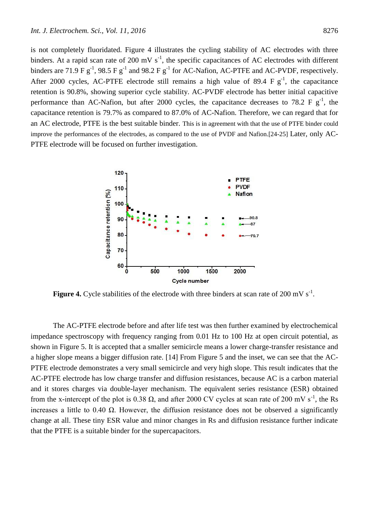is not completely fluoridated. Figure 4 illustrates the cycling stability of AC electrodes with three binders. At a rapid scan rate of 200 mV  $s^{-1}$ , the specific capacitances of AC electrodes with different binders are 71.9 F  $g^{-1}$ , 98.5 F  $g^{-1}$  and 98.2 F  $g^{-1}$  for AC-Nafion, AC-PTFE and AC-PVDF, respectively. After 2000 cycles, AC-PTFE electrode still remains a high value of 89.4 F  $g^{-1}$ , the capacitance retention is 90.8%, showing superior cycle stability. AC-PVDF electrode has better initial capacitive performance than AC-Nafion, but after 2000 cycles, the capacitance decreases to 78.2 F  $g^{-1}$ , the capacitance retention is 79.7% as compared to 87.0% of AC-Nafion. Therefore, we can regard that for an AC electrode, PTFE is the best suitable binder. This is in agreement with that the use of PTFE binder could improve the performances of the electrodes, as compared to the use of PVDF and Nafion.[24-25] Later, only AC-PTFE electrode will be focused on further investigation.



**Figure 4.** Cycle stabilities of the electrode with three binders at scan rate of 200 mV  $s^{-1}$ .

The AC-PTFE electrode before and after life test was then further examined by electrochemical impedance spectroscopy with frequency ranging from 0.01 Hz to 100 Hz at open circuit potential, as shown in Figure 5. It is accepted that a smaller semicircle means a lower charge-transfer resistance and a higher slope means a bigger diffusion rate. [14] From Figure 5 and the inset, we can see that the AC-PTFE electrode demonstrates a very small semicircle and very high slope. This result indicates that the AC-PTFE electrode has low charge transfer and diffusion resistances, because AC is a carbon material and it stores charges via double-layer mechanism. The equivalent series resistance (ESR) obtained from the x-intercept of the plot is 0.38  $\Omega$ , and after 2000 CV cycles at scan rate of 200 mV s<sup>-1</sup>, the Rs increases a little to 0.40 Ω. However, the diffusion resistance does not be observed a significantly change at all. These tiny ESR value and minor changes in Rs and diffusion resistance further indicate that the PTFE is a suitable binder for the supercapacitors.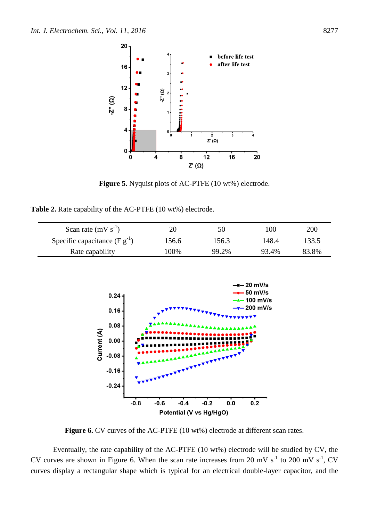

**Figure 5.** Nyquist plots of AC-PTFE (10 wt%) electrode.

**Table 2.** Rate capability of the AC-PTFE (10 wt%) electrode.

| Scan rate $(mV s^{-1})$            | 20    |       | 00    | 200   |
|------------------------------------|-------|-------|-------|-------|
| Specific capacitance (F $g^{-1}$ ) | 156.6 | 156.3 | .48.4 | 133.5 |
| Rate capability                    | 100%  | 99.2% | 93.4% | 83.8% |



**Figure 6.** CV curves of the AC-PTFE (10 wt%) electrode at different scan rates.

Eventually, the rate capability of the AC-PTFE (10 wt%) electrode will be studied by CV, the CV curves are shown in Figure 6. When the scan rate increases from 20 mV  $s^{-1}$  to 200 mV  $s^{-1}$ , CV curves display a rectangular shape which is typical for an electrical double-layer capacitor, and the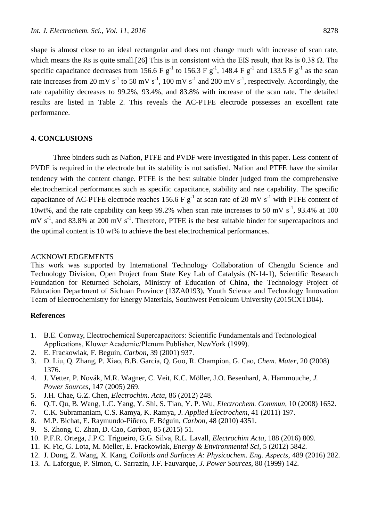shape is almost close to an ideal rectangular and does not change much with increase of scan rate, which means the Rs is quite small.[26] This is in consistent with the EIS result, that Rs is  $0.38 \Omega$ . The specific capacitance decreases from 156.6 F  $g^{-1}$  to 156.3 F  $g^{-1}$ , 148.4 F  $g^{-1}$  and 133.5 F  $g^{-1}$  as the scan rate increases from 20 mV s<sup>-1</sup> to 50 mV s<sup>-1</sup>, 100 mV s<sup>-1</sup> and 200 mV s<sup>-1</sup>, respectively. Accordingly, the rate capability decreases to 99.2%, 93.4%, and 83.8% with increase of the scan rate. The detailed results are listed in Table 2. This reveals the AC-PTFE electrode possesses an excellent rate performance.

## **4. CONCLUSIONS**

Three binders such as Nafion, PTFE and PVDF were investigated in this paper. Less content of PVDF is required in the electrode but its stability is not satisfied. Nafion and PTFE have the similar tendency with the content change. PTFE is the best suitable binder judged from the comprehensive electrochemical performances such as specific capacitance, stability and rate capability. The specific capacitance of AC-PTFE electrode reaches 156.6 F  $g^{-1}$  at scan rate of 20 mV s<sup>-1</sup> with PTFE content of 10wt%, and the rate capability can keep 99.2% when scan rate increases to 50 mV  $s^{-1}$ , 93.4% at 100  $mV s^{-1}$ , and 83.8% at 200 mV s<sup>-1</sup>. Therefore, PTFE is the best suitable binder for supercapacitors and the optimal content is 10 wt% to achieve the best electrochemical performances.

#### ACKNOWLEDGEMENTS

This work was supported by International Technology Collaboration of Chengdu Science and Technology Division, Open Project from State Key Lab of Catalysis (N-14-1), Scientific Research Foundation for Returned Scholars, Ministry of Education of China, the Technology Project of Education Department of Sichuan Province (13ZA0193), Youth Science and Technology Innovation Team of Electrochemistry for Energy Materials, Southwest Petroleum University (2015CXTD04).

## **References**

- 1. B.E. Conway, Electrochemical Supercapacitors: Scientific Fundamentals and Technological Applications, Kluwer Academic/Plenum Publisher, NewYork (1999).
- 2. E. Frackowiak, F. Beguin, *Carbon*, 39 (2001) 937.
- 3. D. Liu, Q. Zhang, P. Xiao, B.B. Garcia, Q. Guo, R. Champion, G. Cao, *Chem. Mater*, 20 (2008) 1376.
- 4. J. Vetter, P. Novák, M.R. Wagner, C. Veit, K.C. Möller, J.O. Besenhard, A. Hammouche, *J. Power Sources*, 147 (2005) 269.
- 5. J.H. Chae, G.Z. Chen, *Electrochim. Acta*, 86 (2012) 248.
- 6. Q.T. Qu, B. Wang, L.C. Yang, Y. Shi, S. Tian, Y. P. Wu, *Electrochem. Commun*, 10 (2008) 1652.
- 7. C.K. Subramaniam, C.S. Ramya, K. Ramya, *J. Applied Electrochem*, 41 (2011) 197.
- 8. M.P. Bichat, E. Raymundo-Piñero, F. Béguin, *Carbon*, 48 (2010) 4351.
- 9. S. Zhong, C. Zhan, D. Cao, *Carbon*, 85 (2015) 51.
- 10. P.F.R. Ortega, J.P.C. Trigueiro, G.G. Silva, R.L. Lavall, *Electrochim Acta*, 188 (2016) 809.
- 11. K. Fic, G. Lota, M. Meller, E. Frackowiak, *Energy & Environmental Sci*, 5 (2012) 5842.
- 12. J. Dong, Z. Wang, X. Kang, *Colloids and Surfaces A: Physicochem. Eng. Aspects*, 489 (2016) 282.
- 13. A. Laforgue, P. Simon, C. Sarrazin, J.F. Fauvarque, *J. Power Sources*, 80 (1999) 142.